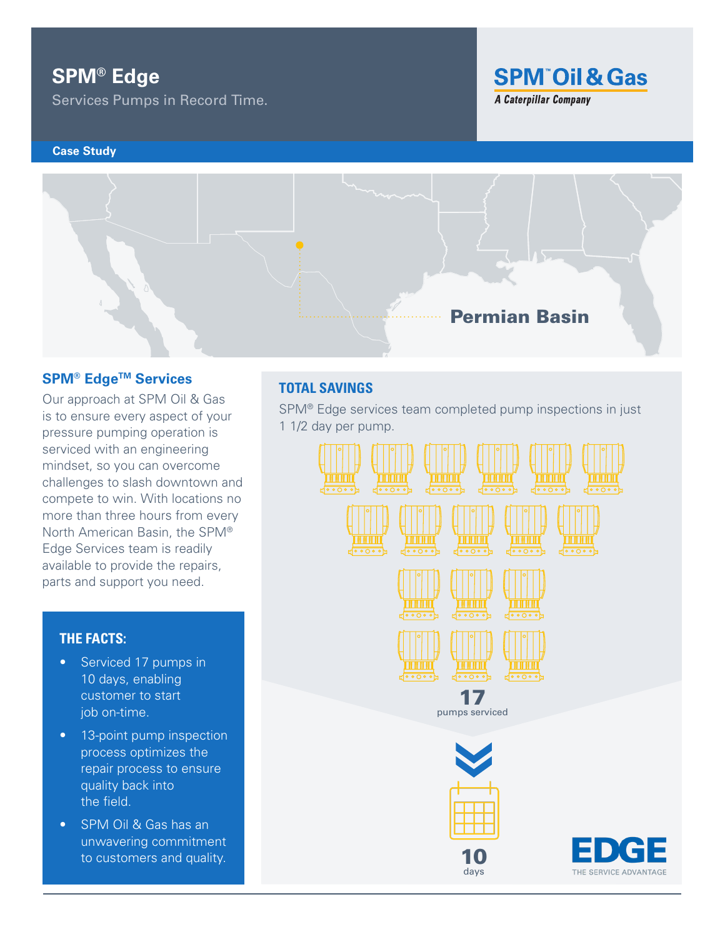# **SPM® Edge**

Services Pumps in Record Time.

### **Case Study**





# **SPM® EdgeTM Services**

Our approach at SPM Oil & Gas is to ensure every aspect of your pressure pumping operation is serviced with an engineering mindset, so you can overcome challenges to slash downtown and compete to win. With locations no more than three hours from every North American Basin, the SPM® Edge Services team is readily available to provide the repairs, parts and support you need.

# **THE FACTS:**

- Serviced 17 pumps in 10 days, enabling customer to start job on-time.
- 13-point pump inspection process optimizes the repair process to ensure quality back into the field.
- SPM Oil & Gas has an unwavering commitment to customers and quality.

# **TOTAL SAVINGS**

SPM® Edge services team completed pump inspections in just 1 1/2 day per pump.